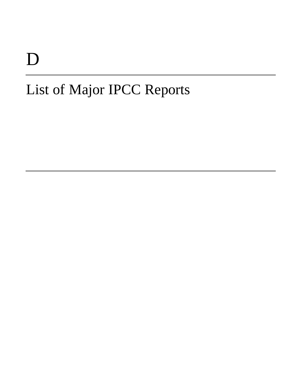# D

# List of Major IPCC Reports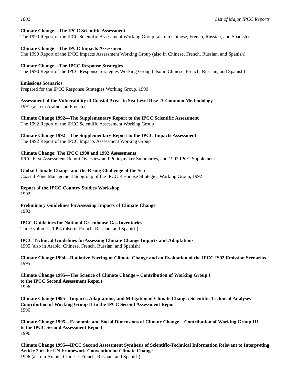### **Climate Change—The IPCC Scientific Assessment**

The 1990 Report of the IPCC Scientific Assessment Working Group (also in Chinese, French, Russian, and Spanish)

#### **Climate Change—The IPCC Impacts Assessment**

The 1990 Report of the IPCC Impacts Assessment Working Group (also in Chinese, French, Russian, and Spanish)

#### **Climate Change—The IPCC Response Strategies**

The 1990 Report of the IPCC Response Strategies Working Group (also in Chinese, French, Russian, and Spanish)

#### **Emissions Scenarios**

Prepared for the IPCC Response Strategies Working Group, 1990

**Assessment of the Vulnerability of Coastal Areas to Sea Level Rise–A Common Methodology** 1991 (also in Arabic and French)

**Climate Change 1992—The Supplementary Report to the IPCC Scientific Assessment** The 1992 Report of the IPCC Scientific Assessment Working Group

**Climate Change 1992—The Supplementary Report to the IPCC Impacts Assessment**

The 1992 Report of the IPCC Impacts Assessment Working Group

### **Climate Change: The IPCC 1990 and 1992 Assessments**

IPCC First Assessment Report Overview and Policymaker Summaries, and 1992 IPCC Supplement

#### **Global Climate Change and the Rising Challenge of the Sea**

Coastal Zone Management Subgroup of the IPCC Response Strategies Working Group, 1992

#### **Report of the IPCC Country Studies Workshop** 1992

**Preliminary Guidelines forAssessing Impacts of Climate Change** 1992

#### **IPCC Guidelines for National Greenhouse Gas Inventories**

Three volumes, 1994 (also in French, Russian, and Spanish)

## **IPCC Technical Guidelines forAssessing Climate Change Impacts and Adaptations**

1995 (also in Arabic, Chinese, French, Russian, and Spanish)

**Climate Change 1994—Radiative Forcing of Climate Change and an Evaluation of the IPCC IS92 Emission Scenarios** 1995

**Climate Change 1995—The Science of Climate Change – Contribution of Working Group I to the IPCC Second Assessment Report** 1996

**Climate Change 1995—Impacts, Adaptations, and Mitigation of Climate Change: Scientific-Technical Analyses – Contribution of Working Group II to the IPCC Second Assessment Report** 1996

**Climate Change 1995—Economic and Social Dimensions of Climate Change** – **Contribution of Working Group III to the IPCC Second Assessment Report** 1996

**Climate Change 1995—IPCC Second Assessment Synthesis of Scientific-Technical Information Relevant to Interpreting Article 2 of the UN Framework Convention on Climate Change** 1996 (also in Arabic, Chinese, French, Russian, and Spanish)